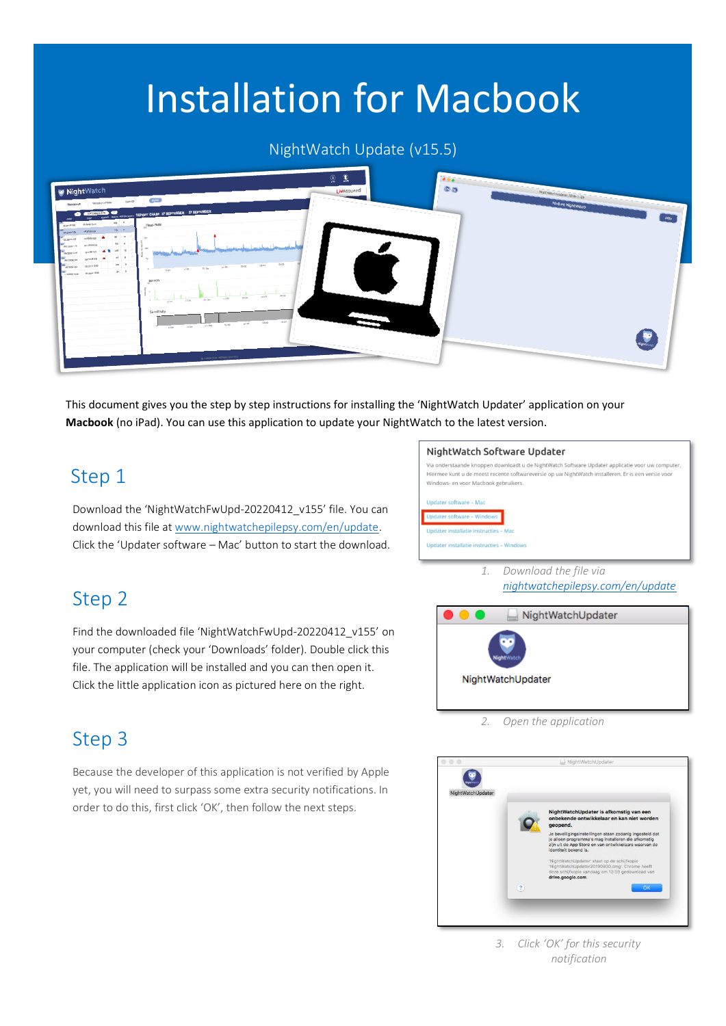# Installation for Macbook

#### NightWatch Update (v15.5)



This document gives you the step by step instructions for installing the 'NightWatch Updater' application on your **Macbook** (no iPad). You can use this application to update your NightWatch to the latest version.

# Step 1

Step 2

Download the 'NightWatchFwUpd-20220412\_v155' file. You can download this file a[t www.nightwatchepilepsy.com/en/update.](https://www.nightwatchepilepsy.com/en/update) Click the 'Updater software – Mac' button to start the download.

Find the downloaded file 'NightWatchFwUpd-20220412\_v155' on your computer (check your 'Downloads' folder). Double click this file. The application will be installed and you can then open it. Click the little application icon as pictured here on the right.

#### NightWatch Software Updater



*1. Download the file via [nightwatchepilepsy.com/en/update](https://www.nightwatchepilepsy.com/en/update)*



*2. Open the application*

### Step 3

Because the developer of this application is not verified by Apple yet, you will need to surpass some extra security notifications. In order to do this, first click 'OK', then follow the next steps.



*3. Click 'OK' for this security notification*